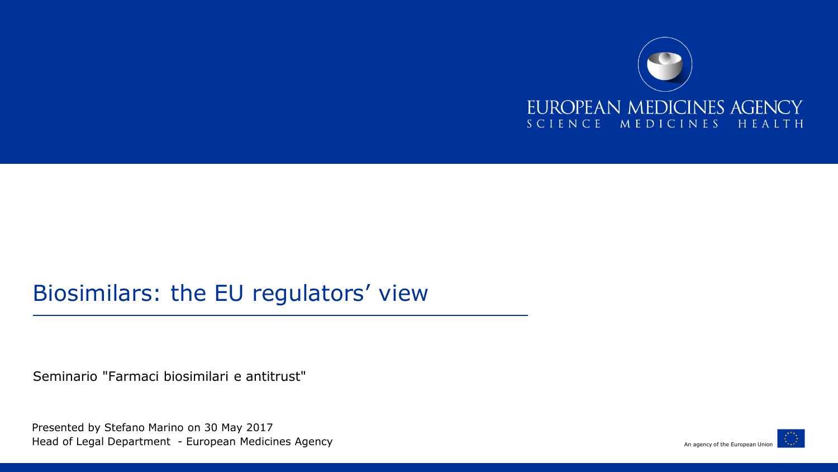

#### Biosimilars: the EU regulators' view

Seminario "Farmaci biosimilari e antitrust"

Presented by Stefano Marino on 30 May 2017 Head of Legal Department - European Medicines Agency

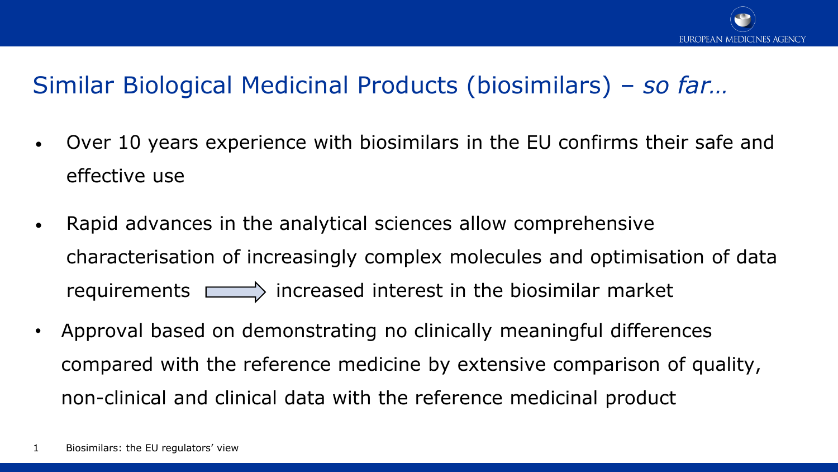

#### Similar Biological Medicinal Products (biosimilars) – *so far…*

- Over 10 years experience with biosimilars in the EU confirms their safe and effective use
- Rapid advances in the analytical sciences allow comprehensive characterisation of increasingly complex molecules and optimisation of data requirements  $\Box$  increased interest in the biosimilar market
- Approval based on demonstrating no clinically meaningful differences compared with the reference medicine by extensive comparison of quality, non-clinical and clinical data with the reference medicinal product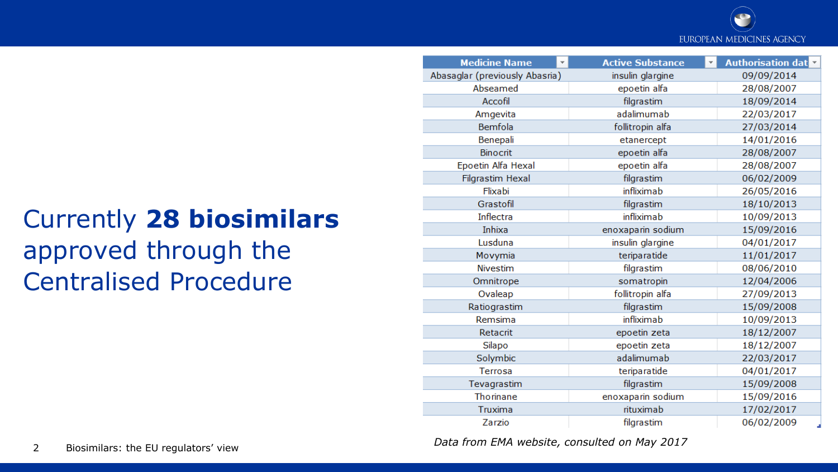

## Currently **28 biosimilars** approved through the Centralised Procedure

| <b>Medicine Name</b>           | <b>Active Substance</b> | <b>Authorisation dat</b> |
|--------------------------------|-------------------------|--------------------------|
| Abasaglar (previously Abasria) | insulin glargine        | 09/09/2014               |
| Abseamed                       | epoetin alfa            | 28/08/2007               |
| Accofil                        | filgrastim              | 18/09/2014               |
| Amgevita                       | adalimumab              | 22/03/2017               |
| Bemfola                        | follitropin alfa        | 27/03/2014               |
| Benepali                       | etanercept              | 14/01/2016               |
| <b>Binocrit</b>                | epoetin alfa            | 28/08/2007               |
| Epoetin Alfa Hexal             | epoetin alfa            | 28/08/2007               |
| <b>Filgrastim Hexal</b>        | filgrastim              | 06/02/2009               |
| Flixabi                        | infliximab              | 26/05/2016               |
| Grastofil                      | filgrastim              | 18/10/2013               |
| Inflectra                      | infliximab              | 10/09/2013               |
| Inhixa                         | enoxaparin sodium       | 15/09/2016               |
| Lusduna                        | insulin glargine        | 04/01/2017               |
| Movymia                        | teriparatide            | 11/01/2017               |
| <b>Nivestim</b>                | filgrastim              | 08/06/2010               |
| Omnitrope                      | somatropin              | 12/04/2006               |
| Ovaleap                        | follitropin alfa        | 27/09/2013               |
| Ratiograstim                   | filgrastim              | 15/09/2008               |
| Remsima                        | infliximab              | 10/09/2013               |
| Retacrit                       | epoetin zeta            | 18/12/2007               |
| Silapo                         | epoetin zeta            | 18/12/2007               |
| Solymbic                       | adalimumab              | 22/03/2017               |
| Terrosa                        | teriparatide            | 04/01/2017               |
| Tevagrastim                    | filgrastim              | 15/09/2008               |
| <b>Thorinane</b>               | enoxaparin sodium       | 15/09/2016               |
| Truxima                        | rituximab               | 17/02/2017               |
| Zarzio                         | filgrastim              | 06/02/2009               |

<sup>2</sup> Biosimilars: the EU regulators' view *Data from EMA website, consulted on May 2017*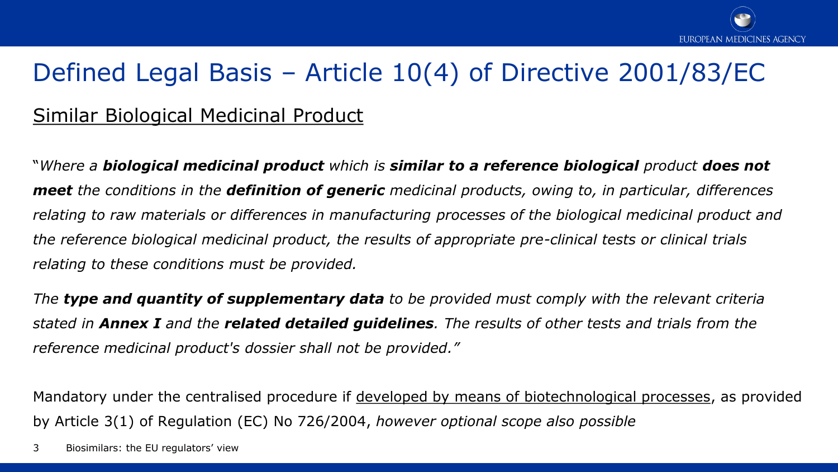### Defined Legal Basis – Article 10(4) of Directive 2001/83/EC

#### Similar Biological Medicinal Product

"*Where a biological medicinal product which is similar to a reference biological product does not meet the conditions in the definition of generic medicinal products, owing to, in particular, differences relating to raw materials or differences in manufacturing processes of the biological medicinal product and the reference biological medicinal product, the results of appropriate pre-clinical tests or clinical trials relating to these conditions must be provided.* 

*The type and quantity of supplementary data to be provided must comply with the relevant criteria stated in Annex I and the related detailed guidelines. The results of other tests and trials from the reference medicinal product's dossier shall not be provided."* 

Mandatory under the centralised procedure if developed by means of biotechnological processes, as provided by Article 3(1) of Regulation (EC) No 726/2004, *however optional scope also possible*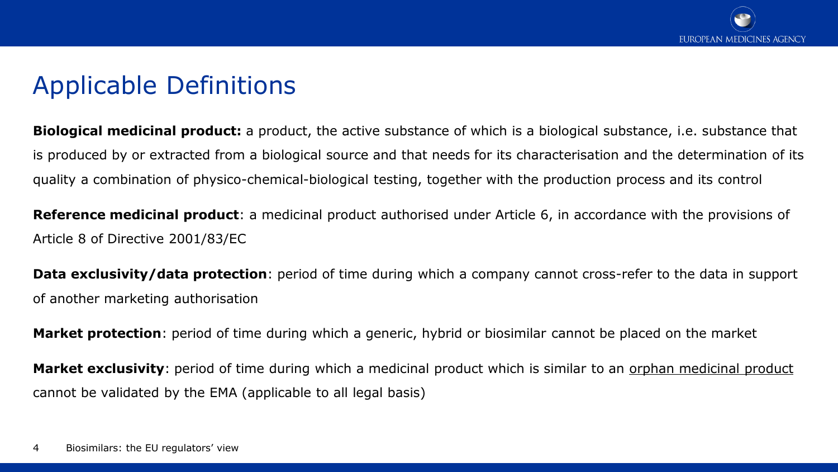### Applicable Definitions

**Biological medicinal product:** a product, the active substance of which is a biological substance, i.e. substance that is produced by or extracted from a biological source and that needs for its characterisation and the determination of its quality a combination of physico-chemical-biological testing, together with the production process and its control

**Reference medicinal product**: a medicinal product authorised under Article 6, in accordance with the provisions of Article 8 of Directive 2001/83/EC

**Data exclusivity/data protection**: period of time during which a company cannot cross-refer to the data in support of another marketing authorisation

**Market protection**: period of time during which a generic, hybrid or biosimilar cannot be placed on the market

**Market exclusivity**: period of time during which a medicinal product which is similar to an orphan medicinal product cannot be validated by the EMA (applicable to all legal basis)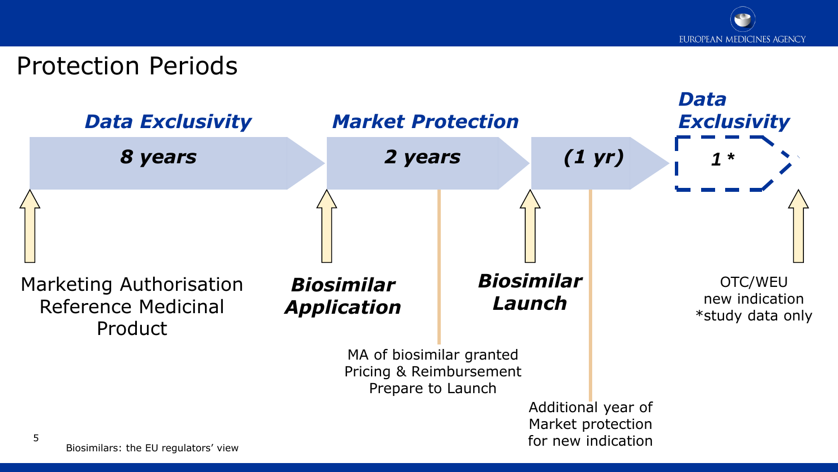

#### Protection Periods

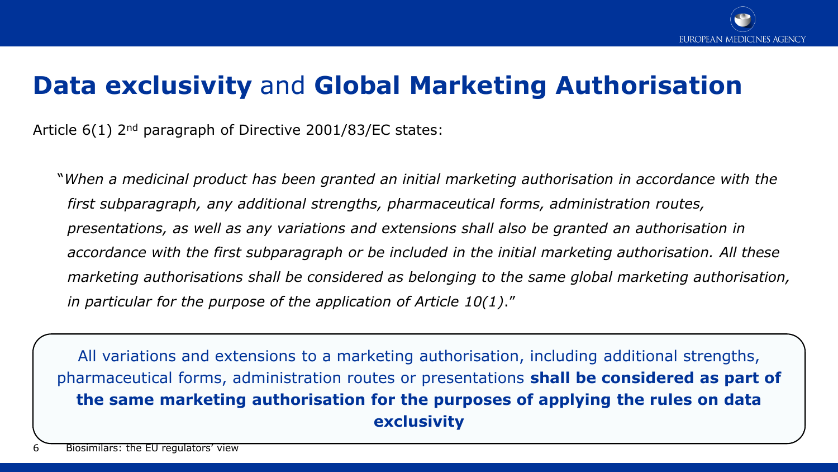

### **Data exclusivity** and **Global Marketing Authorisation**

Article 6(1) 2<sup>nd</sup> paragraph of Directive 2001/83/EC states:

"*When a medicinal product has been granted an initial marketing authorisation in accordance with the first subparagraph, any additional strengths, pharmaceutical forms, administration routes, presentations, as well as any variations and extensions shall also be granted an authorisation in accordance with the first subparagraph or be included in the initial marketing authorisation. All these marketing authorisations shall be considered as belonging to the same global marketing authorisation, in particular for the purpose of the application of Article 10(1)*."

All variations and extensions to a marketing authorisation, including additional strengths, pharmaceutical forms, administration routes or presentations **shall be considered as part of the same marketing authorisation for the purposes of applying the rules on data exclusivity**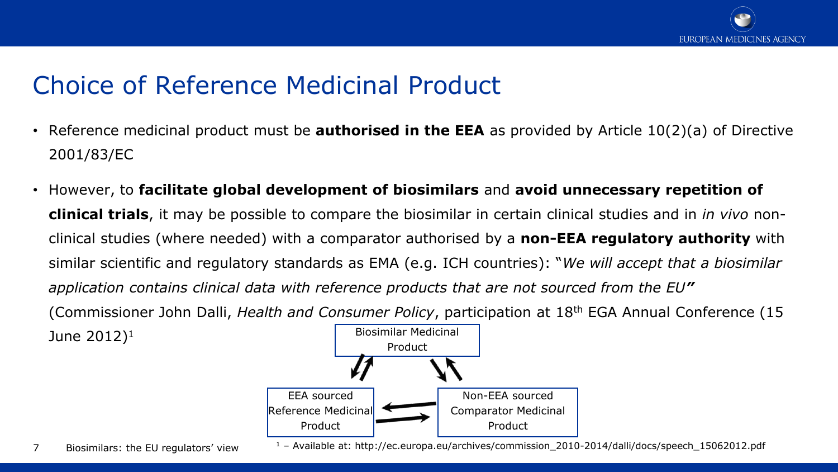

### Choice of Reference Medicinal Product

- Reference medicinal product must be **authorised in the EEA** as provided by Article 10(2)(a) of Directive 2001/83/EC
- However, to **facilitate global development of biosimilars** and **avoid unnecessary repetition of clinical trials**, it may be possible to compare the biosimilar in certain clinical studies and in *in vivo* nonclinical studies (where needed) with a comparator authorised by a **non-EEA regulatory authority** with similar scientific and regulatory standards as EMA (e.g. ICH countries): "*We will accept that a biosimilar application contains clinical data with reference products that are not sourced from the EU"*  (Commissioner John Dalli, *Health and Consumer Policy*, participation at 18th EGA Annual Conference (15

Biosimilar Medicinal Product EEA sourced Reference Medicinal Product Non-EEA sourced Comparator Medicinal Product

June  $2012$ <sup>1</sup>

<sup>1</sup> – Available at: http://ec.europa.eu/archives/commission\_2010-2014/dalli/docs/speech\_15062012.pdf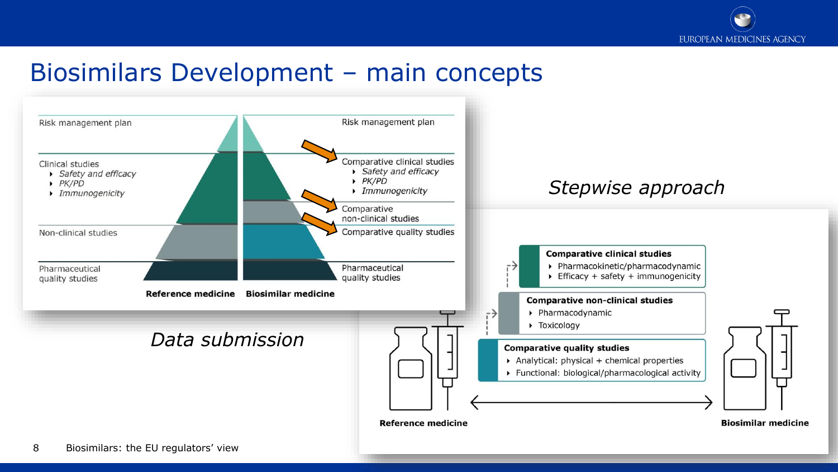

#### Biosimilars Development – main concepts

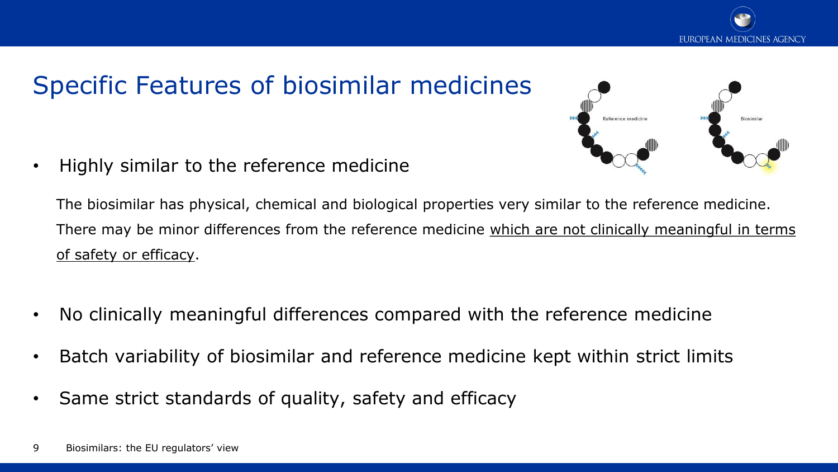

### Specific Features of biosimilar medicines

• Highly similar to the reference medicine



The biosimilar has physical, chemical and biological properties very similar to the reference medicine. There may be minor differences from the reference medicine which are not clinically meaningful in terms of safety or efficacy.

- No clinically meaningful differences compared with the reference medicine
- Batch variability of biosimilar and reference medicine kept within strict limits
- Same strict standards of quality, safety and efficacy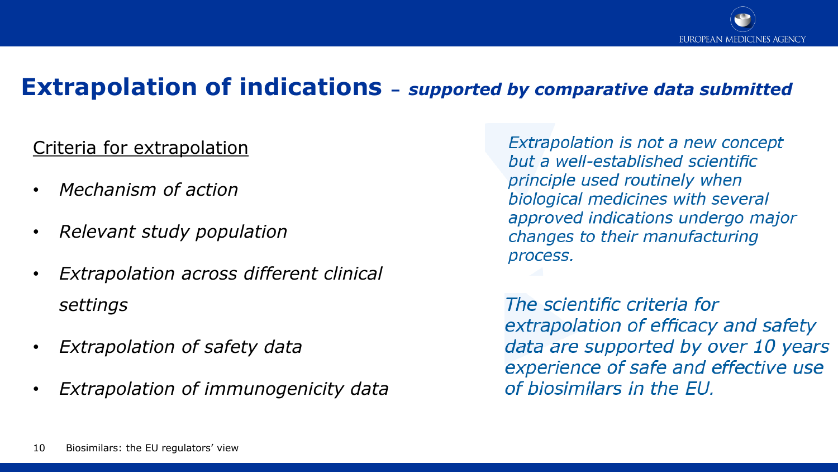#### **Extrapolation of indications –** *supported by comparative data submitted*

#### Criteria for extrapolation

- *Mechanism of action*
- *Relevant study population*
- *Extrapolation across different clinical settings*
- *Extrapolation of safety data*
- *Extrapolation of immunogenicity data*

Extrapolation is not a new concept but a well-established scientific principle used routinely when biological medicines with several approved indications undergo major changes to their manufacturing process.

The scientific criteria for extrapolation of efficacy and safety data are supported by over 10 years experience of safe and effective use of biosimilars in the EU.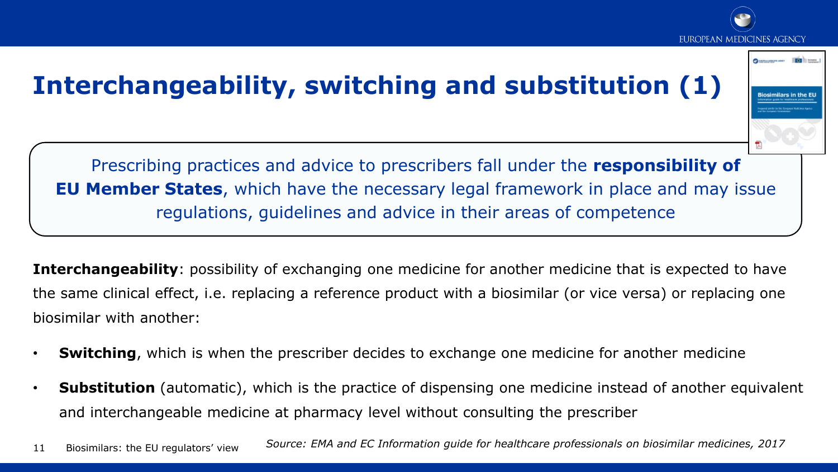



EUROPEAN MEDICINES AGENCY

**Quantitative dec [6]** Down

**Interchangeability**: possibility of exchanging one medicine for another medicine that is expected to have the same clinical effect, i.e. replacing a reference product with a biosimilar (or vice versa) or replacing one biosimilar with another:

- **Switching**, which is when the prescriber decides to exchange one medicine for another medicine
- **Substitution** (automatic), which is the practice of dispensing one medicine instead of another equivalent and interchangeable medicine at pharmacy level without consulting the prescriber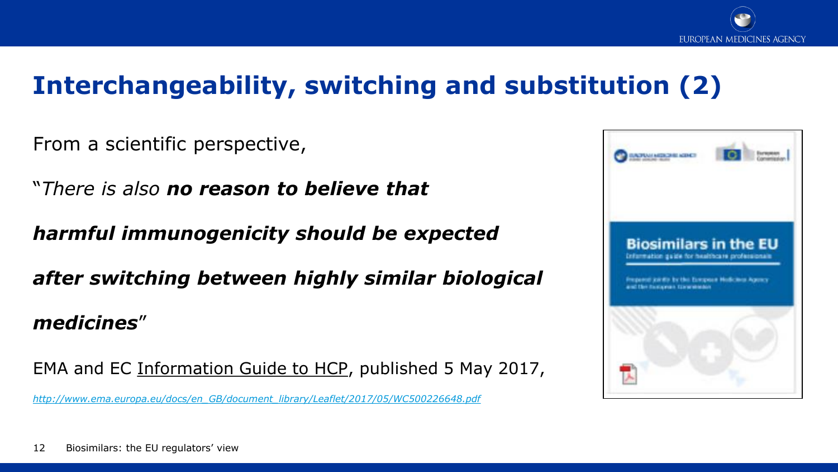

### **Interchangeability, switching and substitution (2)**

From a scientific perspective,

"*There is also no reason to believe that* 

*harmful immunogenicity should be expected* 

*after switching between highly similar biological* 

#### *medicines*"

EMA and EC Information Guide to HCP, published 5 May 2017,

*[http://www.ema.europa.eu/docs/en\\_GB/document\\_library/Leaflet/2017/05/WC500226648.pdf](http://www.ema.europa.eu/docs/en_GB/document_library/Leaflet/2017/05/WC500226648.pdf)*

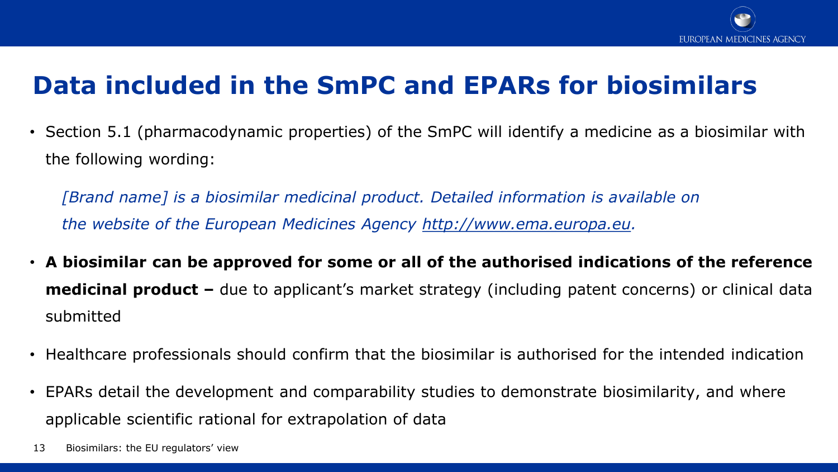

### **Data included in the SmPC and EPARs for biosimilars**

• Section 5.1 (pharmacodynamic properties) of the SmPC will identify a medicine as a biosimilar with the following wording:

*[Brand name] is a biosimilar medicinal product. Detailed information is available on the website of the European Medicines Agency http://www.ema.europa.eu.*

- **A biosimilar can be approved for some or all of the authorised indications of the reference medicinal product –** due to applicant's market strategy (including patent concerns) or clinical data submitted
- Healthcare professionals should confirm that the biosimilar is authorised for the intended indication
- EPARs detail the development and comparability studies to demonstrate biosimilarity, and where applicable scientific rational for extrapolation of data
- 13 Biosimilars: the EU regulators' view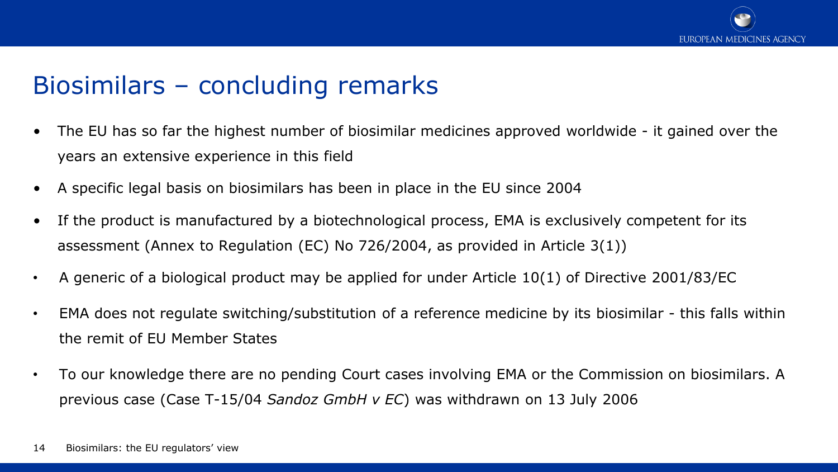

#### Biosimilars – concluding remarks

- The EU has so far the highest number of biosimilar medicines approved worldwide it gained over the years an extensive experience in this field
- A specific legal basis on biosimilars has been in place in the EU since 2004
- If the product is manufactured by a biotechnological process, EMA is exclusively competent for its assessment (Annex to Regulation (EC) No 726/2004, as provided in Article 3(1))
- A generic of a biological product may be applied for under Article 10(1) of Directive 2001/83/EC
- EMA does not regulate switching/substitution of a reference medicine by its biosimilar this falls within the remit of EU Member States
- To our knowledge there are no pending Court cases involving EMA or the Commission on biosimilars. A previous case (Case T-15/04 *Sandoz GmbH v EC*) was withdrawn on 13 July 2006